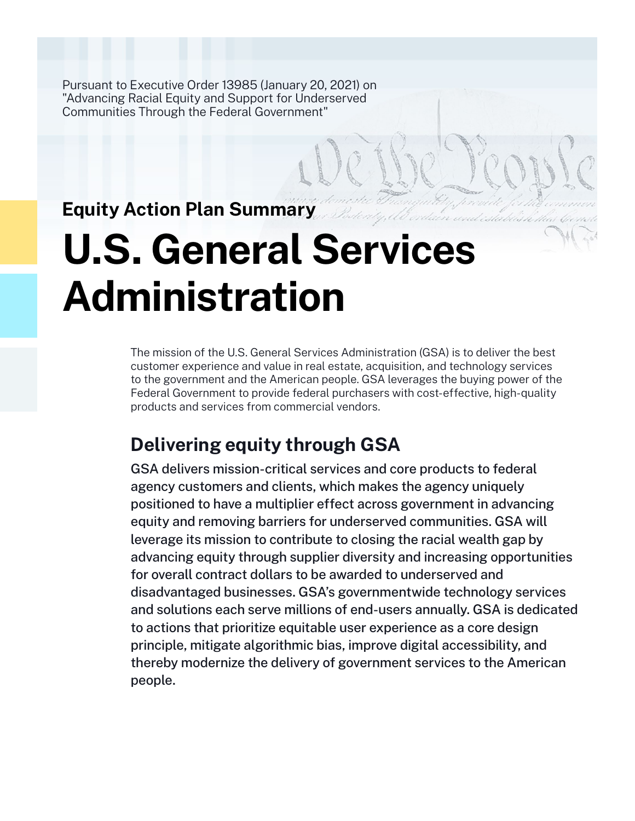Pursuant to Executive Order 13985 (January 20, 2021) on "Advancing Racial Equity and Support for Underserved Communities Through the Federal Government"

# **Equity Action Plan Summary**

# **U.S. General Services Administration**

The mission of the U.S. General Services Administration (GSA) is to deliver the best customer experience and value in real estate, acquisition, and technology services to the government and the American people. GSA leverages the buying power of the Federal Government to provide federal purchasers with cost-effective, high-quality products and services from commercial vendors.

# **Delivering equity through GSA**

GSA delivers mission-critical services and core products to federal agency customers and clients, which makes the agency uniquely positioned to have a multiplier effect across government in advancing equity and removing barriers for underserved communities. GSA will leverage its mission to contribute to closing the racial wealth gap by advancing equity through supplier diversity and increasing opportunities for overall contract dollars to be awarded to underserved and disadvantaged businesses. GSA's governmentwide technology services and solutions each serve millions of end-users annually. GSA is dedicated to actions that prioritize equitable user experience as a core design principle, mitigate algorithmic bias, improve digital accessibility, and thereby modernize the delivery of government services to the American people.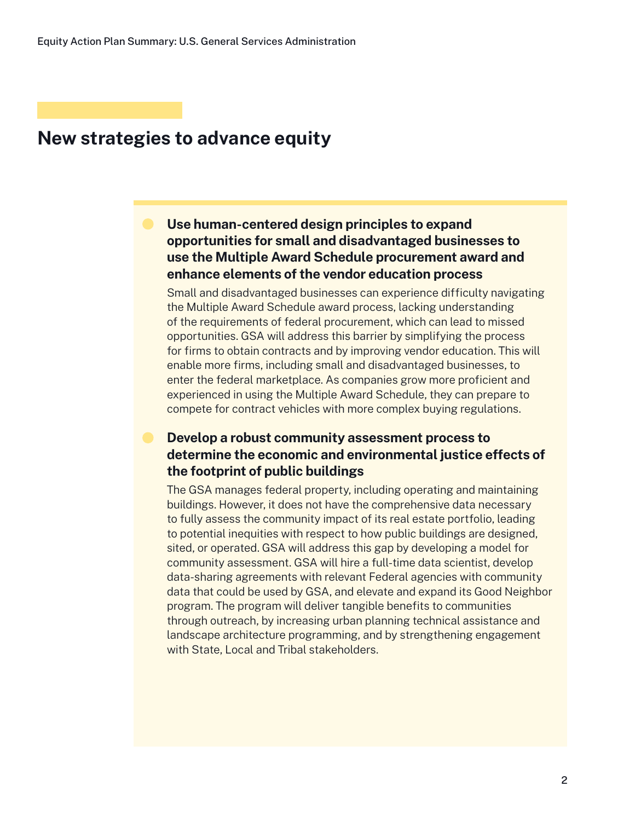## **New strategies to advance equity**

## **Use human-centered design principles to expand opportunities for small and disadvantaged businesses to use the Multiple Award Schedule procurement award and enhance elements of the vendor education process**

Small and disadvantaged businesses can experience difficulty navigating the Multiple Award Schedule award process, lacking understanding of the requirements of federal procurement, which can lead to missed opportunities. GSA will address this barrier by simplifying the process for firms to obtain contracts and by improving vendor education. This will enable more firms, including small and disadvantaged businesses, to enter the federal marketplace. As companies grow more proficient and experienced in using the Multiple Award Schedule, they can prepare to compete for contract vehicles with more complex buying regulations.

### **Develop a robust community assessment process to determine the economic and environmental justice effects of the footprint of public buildings**

The GSA manages federal property, including operating and maintaining buildings. However, it does not have the comprehensive data necessary to fully assess the community impact of its real estate portfolio, leading to potential inequities with respect to how public buildings are designed, sited, or operated. GSA will address this gap by developing a model for community assessment. GSA will hire a full-time data scientist, develop data-sharing agreements with relevant Federal agencies with community data that could be used by GSA, and elevate and expand its Good Neighbor program. The program will deliver tangible benefits to communities through outreach, by increasing urban planning technical assistance and landscape architecture programming, and by strengthening engagement with State, Local and Tribal stakeholders.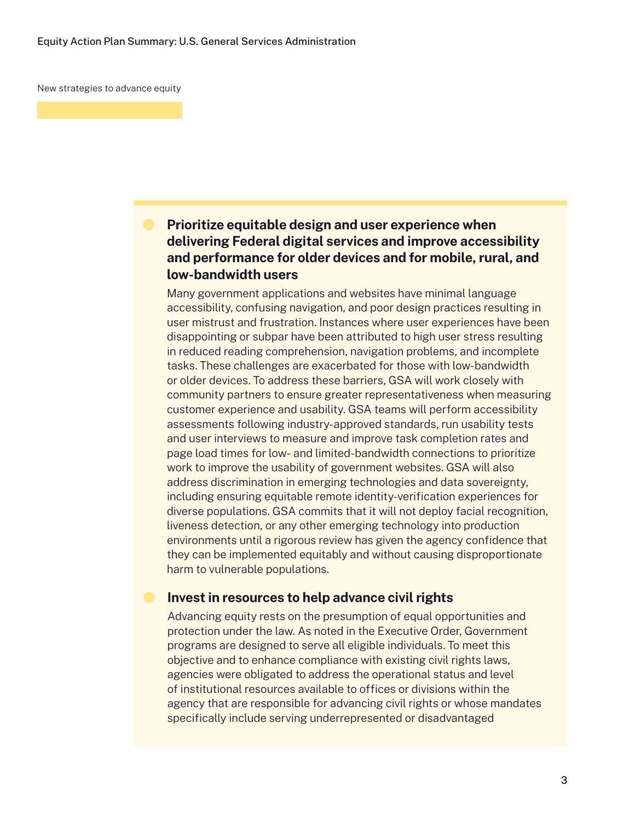New strategies to advance equity

## **Prioritize equitable design and user experience when delivering Federal digital services and improve accessibility and performance for older devices and for mobile, rural, and low-bandwidth users**

Many government applications and websites have minimal language accessibility, confusing navigation, and poor design practices resulting in user mistrust and frustration. Instances where user experiences have been disappointing or subpar have been attributed to high user stress resulting in reduced reading comprehension, navigation problems, and incomplete tasks. These challenges are exacerbated for those with low-bandwidth or older devices. To address these barriers, GSA will work closely with community partners to ensure greater representativeness when measuring customer experience and usability. GSA teams will perform accessibility assessments following industry-approved standards, run usability tests and user interviews to measure and improve task completion rates and page load times for low- and limited-bandwidth connections to prioritize work to improve the usability of government websites. GSA will also address discrimination in emerging technologies and data sovereignty, including ensuring equitable remote identity-verification experiences for diverse populations. GSA commits that it will not deploy facial recognition, liveness detection, or any other emerging technology into production environments until a rigorous review has given the agency confidence that they can be implemented equitably and without causing disproportionate harm to vulnerable populations.

#### **Invest in resources to help advance civil rights**

Advancing equity rests on the presumption of equal opportunities and protection under the law. As noted in the Executive Order, Government programs are designed to serve all eligible individuals. To meet this objective and to enhance compliance with existing civil rights laws, agencies were obligated to address the operational status and level of institutional resources available to offices or divisions within the agency that are responsible for advancing civil rights or whose mandates specifically include serving underrepresented or disadvantaged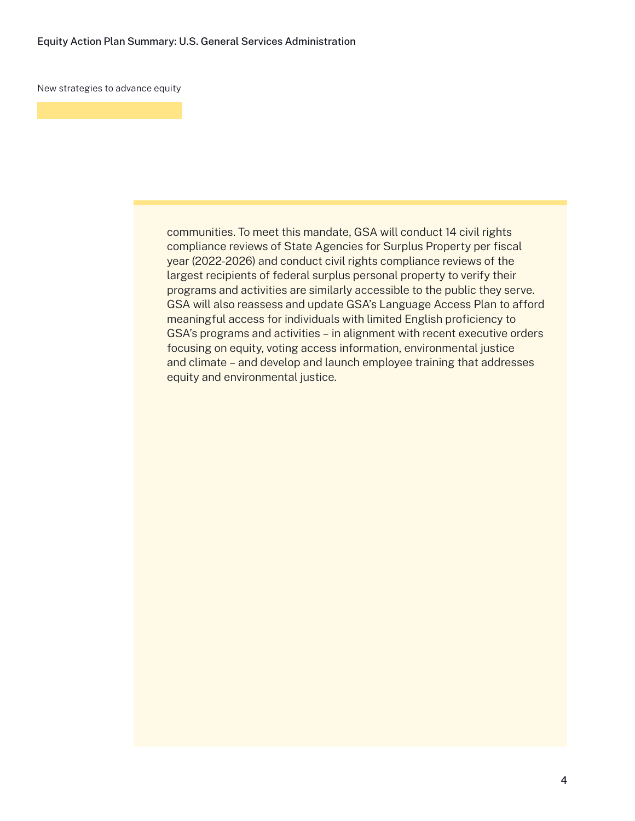New strategies to advance equity

communities. To meet this mandate, GSA will conduct 14 civil rights compliance reviews of State Agencies for Surplus Property per fiscal year (2022-2026) and conduct civil rights compliance reviews of the largest recipients of federal surplus personal property to verify their programs and activities are similarly accessible to the public they serve. GSA will also reassess and update GSA's Language Access Plan to afford meaningful access for individuals with limited English proficiency to GSA's programs and activities – in alignment with recent executive orders focusing on equity, voting access information, environmental justice and climate – and develop and launch employee training that addresses equity and environmental justice.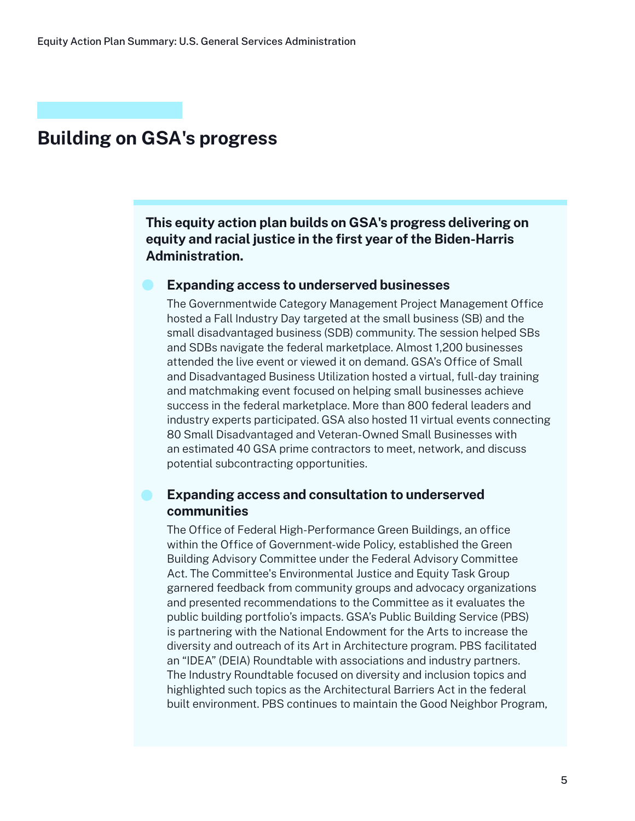## **Building on GSA's progress**

**This equity action plan builds on GSA's progress delivering on equity and racial justice in the first year of the Biden-Harris Administration.**

#### **Expanding access to underserved businesses**

The Governmentwide Category Management Project Management Office hosted a Fall Industry Day targeted at the small business (SB) and the small disadvantaged business (SDB) community. The session helped SBs and SDBs navigate the federal marketplace. Almost 1,200 businesses attended the live event or viewed it on demand. GSA's Office of Small and Disadvantaged Business Utilization hosted a virtual, full-day training and matchmaking event focused on helping small businesses achieve success in the federal marketplace. More than 800 federal leaders and industry experts participated. GSA also hosted 11 virtual events connecting 80 Small Disadvantaged and Veteran-Owned Small Businesses with an estimated 40 GSA prime contractors to meet, network, and discuss potential subcontracting opportunities.

#### **Expanding access and consultation to underserved communities**

The Office of Federal High-Performance Green Buildings, an office within the Office of Government-wide Policy, established the Green Building Advisory Committee under the Federal Advisory Committee Act. The Committee's Environmental Justice and Equity Task Group garnered feedback from community groups and advocacy organizations and presented recommendations to the Committee as it evaluates the public building portfolio's impacts. GSA's Public Building Service (PBS) is partnering with the National Endowment for the Arts to increase the diversity and outreach of its Art in Architecture program. PBS facilitated an "IDEA" (DEIA) Roundtable with associations and industry partners. The Industry Roundtable focused on diversity and inclusion topics and highlighted such topics as the Architectural Barriers Act in the federal built environment. PBS continues to maintain the Good Neighbor Program,